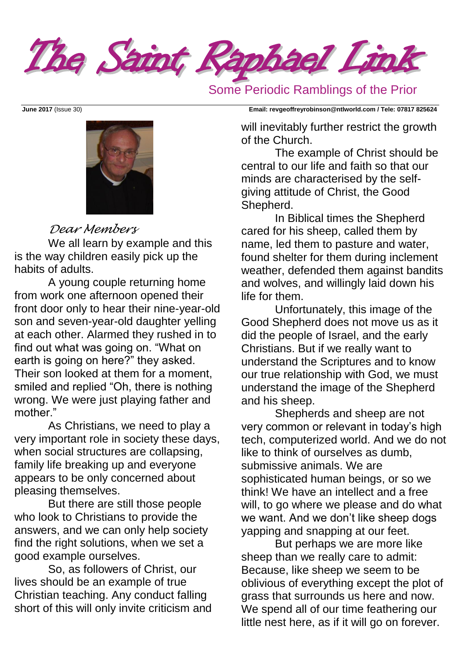

Some Periodic Ramblings of the Prior



### *Dear Members*

We all learn by example and this is the way children easily pick up the habits of adults.

A young couple returning home from work one afternoon opened their front door only to hear their nine-year-old son and seven-year-old daughter yelling at each other. Alarmed they rushed in to find out what was going on. "What on earth is going on here?" they asked. Their son looked at them for a moment, smiled and replied "Oh, there is nothing wrong. We were just playing father and mother."

As Christians, we need to play a very important role in society these days, when social structures are collapsing, family life breaking up and everyone appears to be only concerned about pleasing themselves.

But there are still those people who look to Christians to provide the answers, and we can only help society find the right solutions, when we set a good example ourselves.

So, as followers of Christ, our lives should be an example of true Christian teaching. Any conduct falling short of this will only invite criticism and

**June 2017** (Issue 30) **Email: [revgeoffreyrobinson@ntlworld.com](mailto:revgeoffreyrobinson@ntlworld.com) / Tele: 07817 825624**

will inevitably further restrict the growth of the Church.

The example of Christ should be central to our life and faith so that our minds are characterised by the selfgiving attitude of Christ, the Good Shepherd.

In Biblical times the Shepherd cared for his sheep, called them by name, led them to pasture and water, found shelter for them during inclement weather, defended them against bandits and wolves, and willingly laid down his life for them.

Unfortunately, this image of the Good Shepherd does not move us as it did the people of Israel, and the early Christians. But if we really want to understand the Scriptures and to know our true relationship with God, we must understand the image of the Shepherd and his sheep.

Shepherds and sheep are not very common or relevant in today's high tech, computerized world. And we do not like to think of ourselves as dumb, submissive animals. We are sophisticated human beings, or so we think! We have an intellect and a free will, to go where we please and do what we want. And we don't like sheep dogs yapping and snapping at our feet.

But perhaps we are more like sheep than we really care to admit: Because, like sheep we seem to be oblivious of everything except the plot of grass that surrounds us here and now. We spend all of our time feathering our little nest here, as if it will go on forever.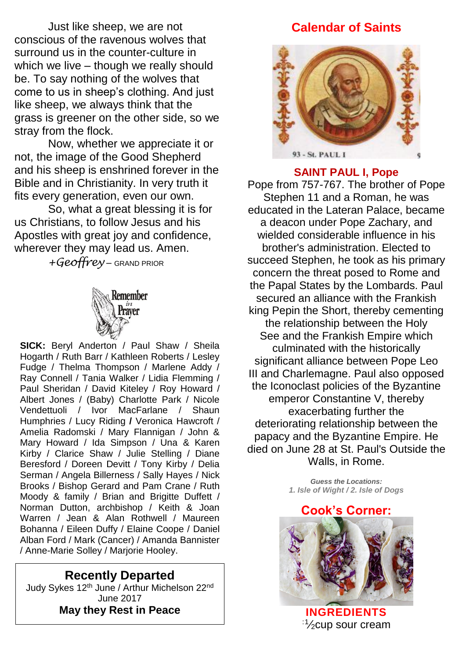Just like sheep, we are not conscious of the ravenous wolves that surround us in the counter-culture in which we live – though we really should be. To say nothing of the wolves that come to us in sheep's clothing. And just like sheep, we always think that the grass is greener on the other side, so we stray from the flock.

Now, whether we appreciate it or not, the image of the Good Shepherd and his sheep is enshrined forever in the Bible and in Christianity. In very truth it fits every generation, even our own.

So, what a great blessing it is for us Christians, to follow Jesus and his Apostles with great joy and confidence, wherever they may lead us. Amen.

*+Geoffrey* – GRAND PRIOR



**SICK:** Beryl Anderton / Paul Shaw / Sheila Hogarth / Ruth Barr / Kathleen Roberts / Lesley Fudge / Thelma Thompson / Marlene Addy / Ray Connell / Tania Walker / Lidia Flemming / Paul Sheridan / David Kiteley / Roy Howard / Albert Jones / (Baby) Charlotte Park / Nicole Vendettuoli / Ivor MacFarlane / Shaun Humphries / Lucy Riding **/** Veronica Hawcroft / Amelia Radomski / Mary Flannigan / John & Mary Howard / Ida Simpson / Una & Karen Kirby / Clarice Shaw / Julie Stelling / Diane Beresford / Doreen Devitt / Tony Kirby / Delia Serman / Angela Billerness / Sally Hayes / Nick Brooks / Bishop Gerard and Pam Crane / Ruth Moody & family / Brian and Brigitte Duffett / Norman Dutton, archbishop / Keith & Joan Warren / Jean & Alan Rothwell / Maureen Bohanna / Eileen Duffy / Elaine Coope / Daniel Alban Ford / Mark (Cancer) / Amanda Bannister / Anne-Marie Solley / Marjorie Hooley.

# **Recently Departed**

Judy Sykes 12th June / Arthur Michelson 22nd June 2017 **May they Rest in Peace**

## **Calendar of Saints**



#### **SAINT PAUL I, Pope**

**Pope from 757-767. The brother of Pope Stephen 11 and a Roman, he was educated in the Lateran Palace, became a deacon under Pope Zachary, and wielded considerable influence in his brother's administration. Elected to succeed Stephen, he took as his primary concern the threat posed to [Rome](http://www.catholic.org/encyclopedia/view.php?id=10148) and the [Papal States](http://www.catholic.org/encyclopedia/view.php?id=8957) by the Lombards. Paul secured an alliance with the Frankish king Pepin the Short, thereby cementing the [relationship](http://www.catholic.org/encyclopedia/view.php?id=9931) between the [Holy](http://www.catholic.org/encyclopedia/view.php?id=5849)  [See](http://www.catholic.org/encyclopedia/view.php?id=5849) and the Frankish Empire which culminated with the historically significant alliance between Pope [Leo](http://www.catholic.org/saints/saint.php?saint_id=1003)  [III](http://www.catholic.org/saints/saint.php?saint_id=1003) and Charlemagne. Paul also opposed the Iconoclast policies of the Byzantine emperor Constantine V, thereby exacerbating further the deteriorating [relationship](http://www.catholic.org/encyclopedia/view.php?id=9931) between the papacy and the Byzantine Empire. He died on June 28 at St. Paul's Outside the Walls, in Rome.**

> *Guess the Locations: 1. Isle of Wight / 2. Isle of Dogs*

#### **Cook's Corner:**



**INGREDIENTS** :1 ⁄2cup [sour cream](http://www.food.com/about/sour-cream-147)